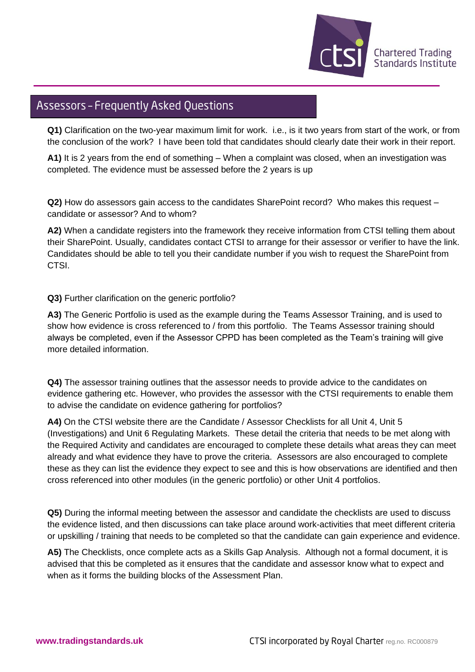

## Assessors - Frequently Asked Questions

**Q1)** Clarification on the two-year maximum limit for work. i.e., is it two years from start of the work, or from the conclusion of the work? I have been told that candidates should clearly date their work in their report.

**A1)** It is 2 years from the end of something – When a complaint was closed, when an investigation was completed. The evidence must be assessed before the 2 years is up

**Q2)** How do assessors gain access to the candidates SharePoint record? Who makes this request – candidate or assessor? And to whom?

**A2)** When a candidate registers into the framework they receive information from CTSI telling them about their SharePoint. Usually, candidates contact CTSI to arrange for their assessor or verifier to have the link. Candidates should be able to tell you their candidate number if you wish to request the SharePoint from CTSI.

**Q3)** Further clarification on the generic portfolio?

**A3)** The Generic Portfolio is used as the example during the Teams Assessor Training, and is used to show how evidence is cross referenced to / from this portfolio. The Teams Assessor training should always be completed, even if the Assessor CPPD has been completed as the Team's training will give more detailed information.

**Q4)** The assessor training outlines that the assessor needs to provide advice to the candidates on evidence gathering etc. However, who provides the assessor with the CTSI requirements to enable them to advise the candidate on evidence gathering for portfolios?

**A4)** On the CTSI website there are the Candidate / Assessor Checklists for all Unit 4, Unit 5 (Investigations) and Unit 6 Regulating Markets. These detail the criteria that needs to be met along with the Required Activity and candidates are encouraged to complete these details what areas they can meet already and what evidence they have to prove the criteria. Assessors are also encouraged to complete these as they can list the evidence they expect to see and this is how observations are identified and then cross referenced into other modules (in the generic portfolio) or other Unit 4 portfolios.

**Q5)** During the informal meeting between the assessor and candidate the checklists are used to discuss the evidence listed, and then discussions can take place around work-activities that meet different criteria or upskilling / training that needs to be completed so that the candidate can gain experience and evidence.

**A5)** The Checklists, once complete acts as a Skills Gap Analysis. Although not a formal document, it is advised that this be completed as it ensures that the candidate and assessor know what to expect and when as it forms the building blocks of the Assessment Plan.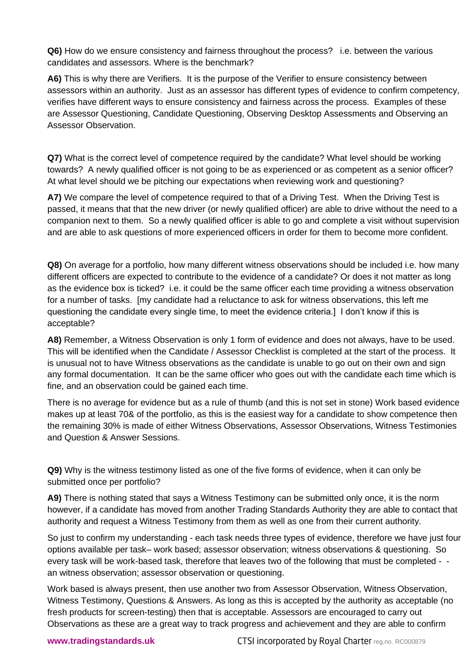**Q6)** How do we ensure consistency and fairness throughout the process? i.e. between the various candidates and assessors. Where is the benchmark?

A6) This is why there are Verifiers. It is the purpose of the Verifier to ensure consistency between assessors within an authority. Just as an assessor has different types of evidence to confirm competency, verifies have different ways to ensure consistency and fairness across the process. Examples of these are Assessor Questioning, Candidate Questioning, Observing Desktop Assessments and Observing an Assessor Observation.

**Q7)** What is the correct level of competence required by the candidate? What level should be working towards? A newly qualified officer is not going to be as experienced or as competent as a senior officer? At what level should we be pitching our expectations when reviewing work and questioning?

**A7)** We compare the level of competence required to that of a Driving Test. When the Driving Test is passed, it means that that the new driver (or newly qualified officer) are able to drive without the need to a companion next to them. So a newly qualified officer is able to go and complete a visit without supervision and are able to ask questions of more experienced officers in order for them to become more confident.

**Q8)** On average for a portfolio, how many different witness observations should be included i.e. how many different officers are expected to contribute to the evidence of a candidate? Or does it not matter as long as the evidence box is ticked? i.e. it could be the same officer each time providing a witness observation for a number of tasks. [my candidate had a reluctance to ask for witness observations, this left me questioning the candidate every single time, to meet the evidence criteria.] I don't know if this is acceptable?

**A8)** Remember, a Witness Observation is only 1 form of evidence and does not always, have to be used. This will be identified when the Candidate / Assessor Checklist is completed at the start of the process. It is unusual not to have Witness observations as the candidate is unable to go out on their own and sign any formal documentation. It can be the same officer who goes out with the candidate each time which is fine, and an observation could be gained each time.

There is no average for evidence but as a rule of thumb (and this is not set in stone) Work based evidence makes up at least 70& of the portfolio, as this is the easiest way for a candidate to show competence then the remaining 30% is made of either Witness Observations, Assessor Observations, Witness Testimonies and Question & Answer Sessions.

**Q9)** Why is the witness testimony listed as one of the five forms of evidence, when it can only be submitted once per portfolio?

**A9)** There is nothing stated that says a Witness Testimony can be submitted only once, it is the norm however, if a candidate has moved from another Trading Standards Authority they are able to contact that authority and request a Witness Testimony from them as well as one from their current authority.

So just to confirm my understanding - each task needs three types of evidence, therefore we have just four options available per task– work based; assessor observation; witness observations & questioning. So every task will be work-based task, therefore that leaves two of the following that must be completed - an witness observation; assessor observation or questioning.

Work based is always present, then use another two from Assessor Observation, Witness Observation, Witness Testimony, Questions & Answers. As long as this is accepted by the authority as acceptable (no fresh products for screen-testing) then that is acceptable. Assessors are encouraged to carry out Observations as these are a great way to track progress and achievement and they are able to confirm